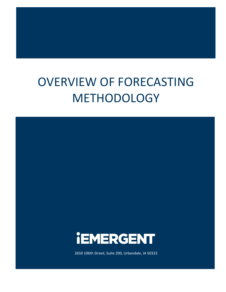# OVERVIEW OF FORECASTING METHODOLOGY



2650 106th Street, Suite 200, Urbandale, IA 50323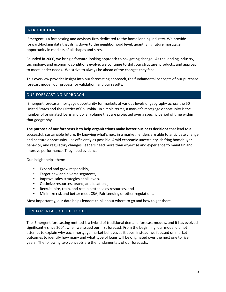## INTRODUCTION

iEmergent is a forecasting and advisory firm dedicated to the home lending industry. We provide forward-looking data that drills down to the neighborhood level, quantifying future mortgage opportunity in markets of all shapes and sizes.

Founded in 2000, we bring a forward-looking approach to navigating change. As the lending industry, technology, and economic conditions evolve, we continue to shift our structure, products, and approach to meet lender needs. We strive to always be ahead of the changes they face.

This overview provides insight into our forecasting approach, the fundamental concepts of our purchase forecast model, our process for validation, and our results.

#### OUR FORECASTING APPROACH

iEmergent forecasts mortgage opportunity for markets at various levels of geography across the 50 United States and the District of Columbia. In simple terms, a market's mortgage opportunity is the number of originated loans and dollar volume that are projected over a specific period of time within that geography.

**The purpose of our forecasts is to help organizations make better business decisions** that lead to a successful, sustainable future. By knowing what's next in a market, lenders are able to anticipate change and capture opportunity—as efficiently as possible. Amid economic uncertainty, shifting homebuyer behavior, and regulatory changes, leaders need more than expertise and experience to maintain and improve performance. They need evidence.

Our insight helps them:

- Expand and grow responsibly,
- Target new and diverse segments,
- Improve sales strategies at all levels,
- Optimize resources, brand, and locations,
- Recruit, hire, train, and retain better sales resources, and
- Minimize risk and better meet CRA, Fair Lending or other regulations.

Most importantly, our data helps lenders think about where to go and how to get there.

# FUNDAMENTALS OF THE MODEL

The iEmergent forecasting method is a hybrid of traditional demand forecast models, and it has evolved significantly since 2004, when we issued our first forecast. From the beginning, our model did not attempt to explain why each mortgage market behaves as it does; instead, we focused on market outcomes to identify how many and what type of loans will be originated over the next one to five years. The following two concepts are the fundamentals of our forecasts: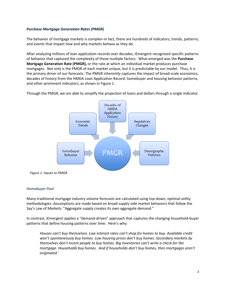## *Purchase Mortgage Generation Rates (PMGR)*

The behavior of mortgage markets is complex–in fact, there are hundreds of indicators, trends, patterns, and events that impact how and why markets behave as they do.

After analyzing millions of loan application records over decades, iEmergent recognized specific patterns of behavior that captured the complexity of these multiple factors. What emerged was the **Purchase Mortgage Generation Rate (PMGR),** or the rate at which an individual market produces purchase mortgages. Not only is the PMGR of each market unique, but it is predictable by our model. Thus, it is the primary driver of our forecasts. The PMGR inherently captures the impact of broad-scale economics, decades of history from the HMDA Loan Application Record, homebuyer and housing behavior patterns, and other prominent indicators, as shown in Figure 1.

Through the PMGR, we are able to simplify the projection of loans and dollars through a single indicator.



*Figure 1: Inputs to PMGR*

#### *Homebuyer Pool*

Many traditional mortgage industry volume forecasts are calculated using top-down, optimal-utility methodologies. Assumptions are made based on broad supply-side market behaviors that follow the Say's Law of Markets: "Aggregate supply creates its own aggregate demand."

In contrast, iEmergent applies a "demand-driven" approach that captures the changing household-buyer patterns that define housing patterns over time. Here's why:

*Houses can't buy themselves. Low interest rates can't shop for homes to buy. Available credit won't spontaneously buy homes. Low housing prices don't buy homes. Secondary markets by themselves don't incent people to buy homes. Big inventories can't write a check for the mortgage. Households buy homes. And if households don't buy homes, then mortgages aren't originated.[i](#page-7-0)*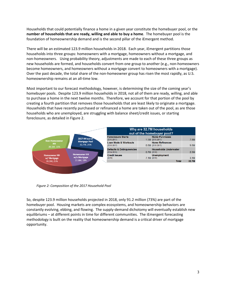Households that could potentially finance a home in a given year constitute the homebuyer pool, or the **number of households that are ready, willing and able to buy a home**. The homebuyer pool is the foundation of homeownership demand and is the second pillar of the iEmergent method.

There will be an estimated 123.9 million households in 2018. Each year, iEmergent partitions those households into three groups: homeowners with a mortgage, homeowners without a mortgage, and non-homeowners. Using probability theory, adjustments are made to each of these three groups as new households are formed, and households convert from one group to another (e.g., non-homeowners become homeowners, and homeowners without a mortgage convert to homeowners with a mortgage). Over the past decade, the total share of the non-homeowner group has risen the most rapidly, as U.S. homeownership remains at an all-time low.

Most important to our forecast methodology, however, is determining the size of the coming year's homebuyer pools. Despite 123.9 million households in 2018, not all of them are ready, willing, and able to purchase a home in the next twelve months. Therefore, we account for that portion of the pool by creating a fourth partition that removes those households that are least likely to originate a mortgage. Households that have recently purchased or refinanced a home are taken out of the pool, as are those households who are unemployed, are struggling with balance sheet/credit issues, or starting foreclosure, as detailed in Figure 2.



 *Figure 2: Composition of the 2017 Household Pool*

So, despite 123.9 million households projected in 2018, only 91.2 million (73%) are part of the homebuyer pool. Housing markets are complex ecosystems, and homeownership behaviors are constantly evolving, ebbing, and flowing. The supply-demand dichotomy will eventually establish new equilibriums – at different points in time for different communities. The iEmergent forecasting methodology is built on the reality that homeownership demand is a critical driver of mortgage opportunity.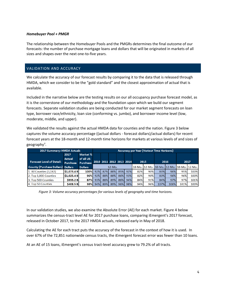#### *Homebuyer Pool + PMGR*

The relationship between the Homebuyer Pools and the PMGRs determines the final outcome of our forecasts: the number of purchase mortgage loans and dollars that will be originated in markets of all sizes and shapes over the next one-to-five years.

## VALIDATION AND ACCURACY

We calculate the accuracy of our forecast results by comparing it to the data that is released through HMDA, which we consider to be the "gold standard" and the closest approximation of actual that is available.

Included in the narrative below are the testing results on our all occupancy purchase forecast model, as it is the cornerstone of our methodology and the foundation upon which we build our segment forecasts. Separate validation studies are being conducted for our market segment forecasts on loan type, borrower race/ethnicity, loan size (conforming vs. jumbo), and borrower income level (low, moderate, middle, and upper).

We validated the results against the actual HMDA data for counties and the nation. Figure 3 below captures the volume accuracy percentage ((actual dollars - forecast dollars)/actual dollars) for recent forecast years at the 18-month and 12-month time horizons for markets at various levels of and sizes of geography".

| 2017 Summary: HMDA Actuals        |                 |                 |                          | <b>Accuracy per Year (Variout Time Horizons)</b> |     |     |     |                                           |     |      |      |      |      |  |
|-----------------------------------|-----------------|-----------------|--------------------------|--------------------------------------------------|-----|-----|-----|-------------------------------------------|-----|------|------|------|------|--|
|                                   | 2017            | Market %        |                          |                                                  |     |     |     |                                           |     |      |      |      |      |  |
|                                   | <b>Actual</b>   | of all US       |                          |                                                  |     |     |     |                                           |     |      |      |      |      |  |
| <b>Forecast Level of Detail:</b>  | <b>Purchase</b> | <b>Purchase</b> | 2010 2011 2012 2013 2014 |                                                  |     |     |     | 2015                                      |     | 2016 |      | 2017 |      |  |
| County (Purchase Dollars) Dollars |                 | <b>Dollars</b>  | $12-Mo$ .                |                                                  |     |     |     | 18-Mo. 12-Mo. 18-Mo. 12-Mo. 18-Mo. 12-Mo. |     |      |      |      |      |  |
| 1. All Counties (3,142)           | \$1.073.4 B     | 100%            | 92%                      | 87%                                              | 88% | 85% | 92% | 82%                                       | 90% | 83%  | 96%  | 95%  | 100% |  |
| 2. Top 1,000 Counties             | \$1,025.4 B     | 96%             | 92%                      | 88%                                              | 88% | 86% | 93% | 82%                                       | 90% | 83%  | 96%  | 96%  | 100% |  |
| 3. Top 500 Counties               | \$935.2 Bl      | 87%             | 93%                      | 88%                                              | 89% | 86% | 94% | 84%                                       | 91% | 84%  | 97%  | 97%  | 101% |  |
| 4. Top 50 Counties                | \$408.5 B       | <b>38%</b>      | 94%                      | 89%                                              | 89% | 96% | 98% | 94%                                       | 96% | 107% | 106% | 101% | 100% |  |

 *Figure 3: Volume accuracy percentages for various levels of geography and time horizons.*

In our validation studies, we also examine the Absolute Error (AE) for each market. Figure 4 below summarizes the census-tract level AE for 2017 purchase loans, comparing iEmergent's 2017 forecast, released in October 2017, to the 2017 HMDA actuals, released early in May of 2018.

Calculating the AE for each tract puts the accuracy of the forecast in the context of how it is used. In over 67% of the 72,851 nationwide census tracts, the iEmergent forecast error was fewer than 10 loans.

At an AE of 15 loans, iEmergent's census tract-level accuracy grew to 79.2% of all tracts.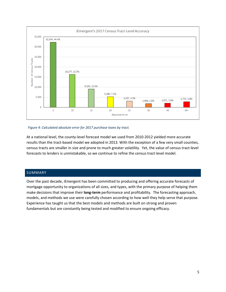

#### *Figure 4: Calculated absolute error for 2017 purchase loans by tract.*

At a national level, the county-level forecast model we used from 2010-2012 yielded more accurate results than the tract-based model we adopted in 2013. With the exception of a few very small counties, census tracts are smaller in size and prone to much greater volatility. Yet, the value of census tract-level forecasts to lenders is unmistakable, so we continue to refine the census tract-level model.

# SUMMARY

Over the past decade, iEmergent has been committed to producing and offering accurate forecasts of mortgage opportunity to organizations of all sizes, and types, with the primary purpose of helping them make decisions that improve their **long-term** performance and profitability. The forecasting approach, models, and methods we use were carefully chosen according to how well they help serve that purpose. Experience has taught us that the best models and methods are built on strong and proven fundamentals but are constantly being tested and modified to ensure ongoing efficacy.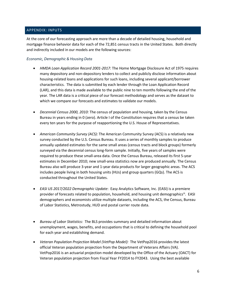## APPENDIX: INPUTS

At the core of our forecasting approach are more than a decade of detailed housing, household and mortgage finance behavior data for each of the 72,851 census tracts in the United States. Both directly and indirectly included in our models are the following sources:

### *Economic, Demographic & Housing Data*

- *HMDA Loan Application Record 2001-2017:* The Home Mortgage Disclosure Act of 1975 requires many depository and non-depository lenders to collect and publicly disclose information about housing-related loans and applications for such loans, including several applicant/borrower characteristics. The data is submitted by each lender through the Loan Application Record (LAR), and this data is made available to the public nine to ten months following the end of the year. The LAR data is a critical piece of our forecast methodology and serves as the dataset to which we compare our forecasts and estimates to validate our models.
- *Decennial Census 2000, 2010:* The census of population and housing, taken by the Census Bureau in years ending in 0 (zero). Article I of the Constitution requires that a census be taken every ten years for the purpose of reapportioning the U.S. House of Representatives.
- *American Community Survey (ACS):* The American Community Survey (ACS) is a relatively new survey conducted by the U.S. Census Bureau. It uses a series of monthly samples to produce annually updated estimates for the same small areas (census tracts and block groups) formerly surveyed via the decennial census long-form sample. Initially, five years of samples were required to produce these small-area data. Once the Census Bureau, released its first 5-year estimates in December 2010; new small-area statistics now are produced annually. The Census Bureau also will produce 3-year and 1-year data products for larger geographic areas. The ACS includes people living in both housing units (HUs) and group quarters (GQs). The ACS is conducted throughout the United States.
- *EASI US 2017/2022 Demographic Update*: Easy Analytics Software, Inc. (EASI) is a premiere provider of forecasts related to population, household, and housing unit demographics<sup>[iii](#page-7-2)</sup>. EASI demographers and economists utilize multiple datasets, including the ACS, the Census, Bureau of Labor Statistics, Metrostudy, HUD and postal carrier route data.
- *Bureau of Labor Statistics:* The BLS provides summary and detailed information about unemployment, wages, benefits, and occupations that is critical to defining the household pool for each year and establishing demand.
- *Veteran Population Projection Model (VetPop Model):* The VetPop2016 provides the latest official Veteran population projection from the Department of Veterans Affairs (VA). VetPop2016 is an actuarial projection model developed by the Office of the Actuary (OACT) for Veteran population projection from Fiscal Year FY2014 to FY2043. Using the best available